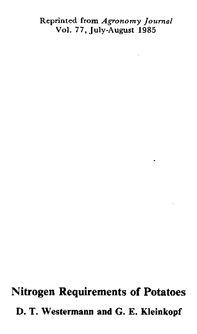## Reprinted from *Agronomy Journal* Vol. *7 7 ,* July-August 1985

**Nitrogen Requirements of Potatoes D. T. Westermann and G. E. Kleinkopf**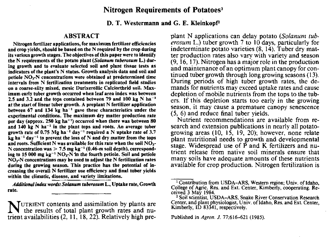# **Nitrogen Requirements of Potatoes'**

**D. T. Westermann and** G. E. Kleinkopf2

# **ABSTRACT**

Nitrogen fertilizer applications, for maximum fertilizer efficiencies and crop yields, should be based on the N required by the crop during its various growth stages. The objectives of this paper were to identify the N requirements of the potato plant *(Solarium tuberosurn* **L.) dur**ing growth and to evaluate selected soil and plant tissue tests as indicators of the plant's N status. Growth analysis data and soil and petiole NO,-N concentrations were obtained at predetermined time intervals from N fertilization treatments in replicated field studies on a coarse-silty mixed, mesic Durixerollic Calciorthrid soil. Maximum early tuber growth occurred when leaf area index was between 2.5 and 3.2 and the tops contained between 79 and 100 kg N ha-' at the start of linear tuber growth. A preplant N fertilizer application between 67 and 134 kg ha<sup>-1</sup> gave these characteristics under the experimental conditions. The maximum dry matter production rate per day (approx. 250 kg ha-') occurred when there was between 80 and  $140 \text{ kg}$  N ha<sup>-1</sup> in the plant tops and roots. An average tuber growth rate of 0.75 Mg ha<sup>-1</sup> day<sup>-1</sup> required a N uptake rate of 3.7  $\bar{k}g$  ha<sup>-1</sup> day<sup>-1</sup> to prevent the loss of N and dry matter from the tops and roots. Sufficient N was available for this rate when the soil  $NO<sub>x</sub>$ N concentration was  $> 7.5$  mg kg<sup>-1</sup> (0.46-m soil depth), corresponding to 15 000 mg  $kq^{-1}$  NO<sub>x</sub>-N in the fourth petiole. Soil and petiole  $NO<sub>1</sub>$ -N concentrations may be used to adjust the N fertilization rates during the growing season. This practice has the potential of increasing the overall N fertilizer use efficiency and final tuber yields within the climatic, disease, and variety limitations.

*Additional index words: Solarium tuberosnon* **L.** Uptake rate, Growth rate.

**NUTRIENT contents and assimilation by plants are the results of total plant growth rates and nutrient availabilities**  $(2, 11, 18, 22)$ **. Belatively high pre**the results of total plant growth rates and nutrient availabilities (2, 11, 18, 22). Relatively high preplant N applications can delay potato *(Solanum tuberosum* L.) tuber growth 7 to 10 days, particularly for indeterminate potato varieties (8, 14). Tuber dry matter production rates also vary with variety and season (9, 16, 17). Nitrogen has a major role in the production and maintenance of an optimum plant canopy for continued tuber growth through long growing seasons (13). During periods of high tuber growth rates, the demands for nutrients may exceed uptake rates and cause depletion of mobile nutrients from the tops to the tubers. If this depletion starts too early in the growing season, it may cause a premature canopy senescence (5, 6) and reduce final tuber yields.

Nutrient recommendations are available from research and extension publications in nearly all potatogrowing areas (10, 15, 19, 20); however, none relate plant nutritional needs to growth and developmental stage. Widespread use of P and K fertilizers and nutrient release from native soil minerals ensure that many soils have adequate amounts of these nutrients available for crop production. Nitrogen fertilization is

Published in *Agron. J.* 77;616-621 (1985).

<sup>&</sup>lt;sup>1</sup> Contribution from USDA-ARS, Western region; Univ. of Idaho, College of Agric, Res. and Ext. Center, Kimberly, cooperating. Received 3 May 1984.

<sup>&</sup>lt;sup>2</sup> Soil scientist, USDA-ARS, Snake River Conservation Research Center, and plant physiologist, Univ. of Idaho, Res. and Ext. Center, Kimberly, ID 83341, respectively.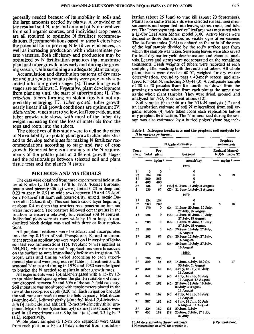generally needed because of its mobility in soils and the large amounts needed by plants. A knowledge of the residual soil N, rate and amount of N mineralized from soil organic sources, and individual crop needs are all required to optimize N fertilizer recommendations. Recommendations based on these factors have the potential for improving N fertilizer efficiencies, as well as increasing production with indeterminate potato varieties. Both efficiency and production may be optimized by N fertilization practices that maximize plant and tuber growth rates early and during the growing season, while sustaining an adequate plant canopy.

Accumulation and distribution patterns of dry matter and nutrients in potato plants were previously separated into four growth stages (8). These four growth stages are as follows: I. *Vegetative,* plant development from planting until the start of tuberization; IL *Tuberization,* tubers forming on stolon tips but not appreciably enlarging; IIL *Tuber growth,* tuber growth nearly linear if all growth conditions are optimum; IV. *Maturation,* vines start to yellow, leaf loss evident, and tuber growth rate slows, with most of the tuber dry weight increasing from the loss of materials from the tops and roots into the tubers.

The objectives of this study were to define the effect of N availability on potato plant growth characteristics and to develop techniques for making N fertilizer recommendations according to stage and rate of crop growth. Reported here is a summary of the N requirements of the potato plant at different growth stages and the relationships between selected soil and plant tissue tests and the plant's N status.

# METHODS-AND MATERIALS

The data were obtained from three experimental field studies at Kimberly, ID from 1978 to 1980. 'Russet Burbank' potato seed pieces (0.06 kg) were planted 0.20 m deep and 0.23 m apart in 0.91 m wide rows between 19 and 25 April on a Portneuf silt loam soil (coarse-silty, mixed, mesic Durixerollic Calciorthid). This soil has a calcic layer beginning at about 0.4 m deep that restricts root penetration but not water movement. The potatoes followed cereal grains in the rotation to ensure a relatively low residual soil N content. Individual plots were six rows wide by 15 m long. A randomized block design was used with three or four replications.

All preplant fertilizers were broadcast and incorporated into the top 0.15 m of soil. Phosphorus, K, and micronutrient preplant applications were based on University of Idaho soil test recommendations (15). Preplant N was applied as  $NH<sub>4</sub>NO<sub>3</sub>$ , while the seasonal N applications were broadcast on the surface as urea immediately before an irrigation. Nitrogen rates and timing varied according to each experimental plan and were progressive (Table 1). Treatments with seasonal N rates and timing in 1979 and 1980 were designed to bracket the N needed. to maintain tuber growth rates.

All experiments were sprinkler-irrigated with *a* 15- by 12 m sprinkler head spacing when the plant-available soil moisture dropped between 50 and 60% of the soil's field capacity. Soil moisture was monitored with tensiometers placed in the row at the seed-piece depth (0.20 m). Each irrigation brought the soil moisture back to near the field capacity. Metribuzin [4-amino-6-(1,1-dimethylethyl)-(methylthio)- I ,2,4-triaz i ne-5(4H)) herbicide and aldicarb [2-methyl-2(methylthio) propionaldehyde 0-(methylcarbamoyl) oxime] insecticide were used in all experiments at  $0.8$  kg ha<sup>-1</sup> (a.i.) and  $3.3$  kg ha<sup>-1</sup> (a.i.), respectively.

Whole plant samples (a 1.5-m row segment) were taken from each plot on a 10- to 14-day interval from midtuber-

ization (about 25 June) to vine kill (about 20 September), Plants from some treatments were selected for leaf area measurements and separated into leaves, stems, roots, and tubers. The "photosynthetic active" leaf area was measured with a Li-Cor Leaf Area Meter, model 3100. Active leaves were defined as those that showed no visible signs of senescence. The leaf area index (LAI) is defined as the ratio of the area of the leaf sample divided by the soil's surface area from which the sample was taken. Senescing leaves were also saved for total dry matter yield determination and chemical analysis. Leaves and stems were not separated on the remaining treatments. Fresh weights of tubers were recorded at each sampling after washing both the roots and tubers. All whole plant tissues were dried at 60 °C, weighed for dry matter determination, ground to pass a 40-mesh screen, and analyzed for total N, including  $NO<sub>3</sub>-N$  (3). A composite sample of 30 to 40 petioles from *the* fourth leaf down from the growing tip was also taken from each plot at the same time as the whole plant samples. They were dried, ground, and analyzed for  $NO<sub>3</sub>-N$  concentrations (12).

Soil samples (0 to 0.46 m) for  $NO<sub>3</sub>$ -N analysis (12) and an incubation estimate of soil N mineralized from soil organic sources (4) were taken from each replication before any preplant fertilization. The N mineralized during the season was also estimated by a buried polyethylene bag tech-

Table 1. Nitrogen treatments and the preplant soil analysis for N in *each* experiment.

|                | N applications (N <sub>t</sub> ) |               |       |                                                   |                                      | Preplant<br>soil analysis |  |
|----------------|----------------------------------|---------------|-------|---------------------------------------------------|--------------------------------------|---------------------------|--|
| Ттеат-<br>ment | Total                            | Pre-<br>plant |       | Seasonal                                          | Residual Mineral-<br>NO, N⊔izable N‡ |                           |  |
|                |                                  | kg ha         |       | month/day                                         |                                      | - mgkg <sup>-</sup> ' -   |  |
|                |                                  |               |       | 1978                                              |                                      |                           |  |
| 1†             | 0                                | o             |       | 0                                                 |                                      |                           |  |
| 2†             | 134                              | 134           |       | 0                                                 | 5                                    | 19                        |  |
| 3t             | 269                              | 269           |       | 0                                                 |                                      |                           |  |
| 4              | 403                              | 403           |       | 0                                                 |                                      |                           |  |
| 5†             | 135                              | 0             |       | (45)§ 21 June, 14 July, 2 August                  |                                      |                           |  |
| 6              | 135                              | 67            |       | (22) 21 June, 14 July, 2 August                   |                                      |                           |  |
|                |                                  |               |       | 1979                                              |                                      |                           |  |
| 1†             | 134                              | 134           |       | 0                                                 |                                      |                           |  |
| 2†             | 269                              | 269           |       | 0                                                 | 6                                    | 16                        |  |
| 3              | 170                              | 0             | (34). | 11 June, 20 June, 10 July,<br>-27 July, 16 August |                                      |                           |  |
| 41             | 225                              | 0             | (45)  | Il June, 20 June, 10 July,<br>27 July, 15 August  |                                      |                           |  |
| 5              | 280                              | 0             | (56)  | 11 June, 20 June, 10 July,<br>27 July, 15 August  |                                      |                           |  |
| 6†             | 180                              | 0             | (45)  | 20 June, 10 July, 27 July,<br>15 August           |                                      |                           |  |
| 71             | 203                              | 67            | (34)  | 20 June, 10 July, 27 July,<br>15 August           |                                      |                           |  |
| 8              | 270                              | 134           | (34)  | 20 June, 10 July, 27 July,<br>15 August           |                                      |                           |  |
|                |                                  |               |       | 1980                                              |                                      |                           |  |
| ı              | 235                              | 235           |       | 0                                                 |                                      |                           |  |
| 2†             | 309                              | 84            | (45)  | 14 June, 4 July, 18 July,                         | 4                                    | 17                        |  |
|                |                                  |               |       | 30 July, 11 August                                |                                      |                           |  |
| зt             | 342                              | 162           | (45)  | 4 July, 18 July, 30 July,                         |                                      |                           |  |
|                |                                  |               |       | 11 August                                         |                                      |                           |  |
| 4              | 342                              | 162           | (45)  | 4 July, 18 July, 30 July.                         |                                      |                           |  |
|                |                                  |               |       | 11 August, 18 August                              |                                      |                           |  |
| 5              | 432                              | 162           | (45)  | 27 June, 11 July, 18 July,                        |                                      |                           |  |
|                |                                  |               |       | 30 July, 5 August,                                |                                      |                           |  |
|                |                                  |               |       | 11 August                                         |                                      |                           |  |
| 6†             | 342                              | 162           | (45)  | 4 July, 18 July, 30 July,                         |                                      |                           |  |
|                |                                  |               |       | 11 August                                         |                                      |                           |  |
| 7†             | 387                              | 162           | (45)  | 4 July, 18 July, 30 July,                         |                                      |                           |  |
|                |                                  |               |       | 5 August, 11 August                               |                                      |                           |  |
| 81             | 224                              | 162           | 131). | 20 June, 3 July                                   |                                      |                           |  |
| 9†             | 450                              | 162           | (72)  | 20 June, 3 July, 17 July,<br>31 July              |                                      |                           |  |

t LAI determined on these treatments.  $\oint$  Per treatment.

N mineralized at 30°C for 3 weeks 181.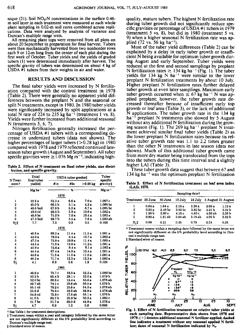nique (21). Soil **NO<sub>1</sub>-N** concentrations in the surface 0.46m soil layer in each treatment were measured at each whole plant sampling in 0.02-m soil cores combined across replications. Data were analyzed by analysis of variance and Duncan's multiple range tests.

All remaining plant tops were removed from all plots on about 20 September in preparation for final harvest. Tubers were then mechanically harvested from two nonborder rows each 9 or 12-m long from the center of each plot during the first week of October. Tuber yields and the yields of graded tubers (1) were determined immediately after harvest. The specific gravity of tubers was determined on about 4 kg of USDA #1 tubers from their weights in air and water.

# **RESULTS AND DISCUSSION**

The final tuber yields were increased by N fertilization compared with the control treatment in 1978 (Table 2). There were generally no apparent yield differences between the preplant N and the seasonal or split N treatments, except in 1980. In 1980 tuber yields were significantly increased by split applications at a total N rate of 224 to 235 kg ha<sup> $-1$ </sup> (treatment 1 vs. 8). Yields were further increased from additional seasonal N (treatments 5, 6, 7).

Nitrogen fertilization generally increased the percentage of USDA #1 tubers with a corresponding decrease in undersized tubers (data not shown). The higher percentages of larger tubers  $(>0.28$  kg) in 1980 compared with 1978 and 1979 reflected continued lateseason tuber growth (August and September). All tuber specific gravities were  $\geq 1.076$  Mg m<sup>-3</sup>, indicating high-

**Table 2. Effect of N treatment on final tuber yields, size distribution, and specific gravity.**

| N Treat-                             | Total<br>final tuber | USDA tuber gradest | Tuber<br>specific |            |                       |  |  |  |
|--------------------------------------|----------------------|--------------------|-------------------|------------|-----------------------|--|--|--|
| ment t                               | yields:              | #ls                | $y_{2s}$          | $>0.28$ kg | gravityt              |  |  |  |
|                                      | Mg ha "              |                    | %                 |            | $M$ g m <sup>-3</sup> |  |  |  |
|                                      | 1978                 |                    |                   |            |                       |  |  |  |
| 1                                    | 32.6 a               | 52.2a              | 6.6 a             | 7.0 a      | 1.087c                |  |  |  |
| 2                                    | 45.0 b               | 66.5 b             | 3.1 a             | 4.2 a      | 1.085 bc              |  |  |  |
| 3                                    | 48.6 bcd             | 67.9 b             | 5.3a              | 8.7a       | $1.085$ bc            |  |  |  |
| $\overline{\mathbf{4}}$              | 49.6 ed              | 69.5 b             | 5.9a              | 10 6 a     | 1.082a                |  |  |  |
| 5                                    | 46.8 bc              | 71.0 b             | 7.0 a             | 10.4 a     | 1.082a                |  |  |  |
| 6                                    | 47.5 bod             | 68.7 b             | 5.5a              | 7.6a       | $1.083$ ab            |  |  |  |
| S-\$                                 | 7.7                  | 7.5                | 0.9               | 3.5        | 0.108                 |  |  |  |
| 1979                                 |                      |                    |                   |            |                       |  |  |  |
| 1                                    | 46.6 a               | 69.2 a             | 11.4 a            | 11.5a      | 1.081 <sub>a</sub>    |  |  |  |
| 2                                    | 43.9 a               | 79.3 a             | 5.4a              | 10.7a      | 1.082a                |  |  |  |
| 3                                    | 47.3 a               | 72.0 a             | 10.9 a            | 11.4a      | 1.080 a               |  |  |  |
| 4                                    | 44.5 a               | 71.0a              | 12.0a             | 11.2 a     | 1.081 a               |  |  |  |
| 5                                    | 42.9a                | 73.6 a             | 8.4 а             | 8.1a       | 1.082a                |  |  |  |
| 6                                    | 44.4 a               | 67.4a              | 14.9 a            | 10.4a      | 1.081 a               |  |  |  |
| 7                                    | 44.6 a               | 71.6 a             | 11.0a             | 11.0a      | 1.081a                |  |  |  |
| 8                                    | 46.2a                | 71.7a              | 12.3a             | 12.3a      | 1.080 <sub>B</sub>    |  |  |  |
| $S_{\overline{x}}$                   | 4.1                  | 6.9                | 5.6               | 1.9        | 0.125                 |  |  |  |
| 1980                                 |                      |                    |                   |            |                       |  |  |  |
| ı                                    | 46.6 a               | 75.7 c             | 18.0 a            | 52.2a      | 1.080 bc              |  |  |  |
| 2                                    | 50.2b                | 66.4 b             | 28.1 c            | 52.0a      | 1.079 b               |  |  |  |
| 3                                    | 52.0 bc              | 80.6 c             | 13.4 a            | 55.6 a     | 1.078 ab              |  |  |  |
| 4                                    | 49.7 ab              | 74.1 c             | 19.6 ab           | 56.5 a     | 1.079 <sub>b</sub>    |  |  |  |
| 5                                    | 55.1 cd              | 78.2 c             | 15.6 a            | 54.3a      | 1.078 ab              |  |  |  |
| 6                                    | 55.9 d               | 75.8 c             | 18.8 ab           | 56.9 а     | $1.078$ ab            |  |  |  |
| 7                                    | 54.8 cd              | 75.9 с             | 17.6 ab           | 55.1a      | 1.079b                |  |  |  |
| 8                                    | 51.0 b               | 65.7b              | 25.0 bc           | 50.3a      | 1.082c                |  |  |  |
| 9                                    | 51.7 bc              | 51.7a              | 38.0 d            | 44.9a      | 1.076a                |  |  |  |
| $\mathbf{s}_{\overline{\mathbf{x}}}$ | 4.7                  | 6.9                | 1.2               | 5.8        | 0.096                 |  |  |  |

**1 See Table 1 for treatment descriptions.**

\$ **Treatment mean within a year and category followed** by **the same letter are not significantly different at the 5%** probability **level according to Duncan's multiple range test.**

§ **Standard error of means.**

quality, mature tubers. The highest N fertilization rate during tuber growth did not significantly reduce specific gravities or percentage of USDA #1 tubers in 1979 (treatment 5 vs. 8), but did in 1980 (treatment 5 vs. 9) when a higher seasonal N fertilization rate was applied  $(72 \text{ vs. } 56 \text{ kg ha}^{-1})$ .

Most of the tuber yield differences (Table 2) can be explained by a delay in early tuber growth or insufficient N being available for optimum tuber growth during August and early September. Tuber yields were reduced at the first and second samplings by preplant N fertilization rates  $\geq 134$  kg ha<sup>-1</sup> (Fig. 1). The tuber yields for 134 kg  $N$  ha<sup>-1</sup> were similar to the lower preplant N fertilization treatments by about 10 July. Higher preplant N fertilization rates further delayed tuber growth at even later samplings. Maximum early tuber growth occurred when  $\leq 67$  kg ha<sup>-1</sup> N was applied preplant; however, the tuber growth rate decreased thereafter because of insufficient early top growth or leaf area (Table 3), or the lack of additional N applications. The tuber growth rate in the 134 kg ha<sup>-1</sup> preplant N treatments also slowed by 5 August without any additional N fertilization during the growing season (Fig. 1). The 269 kg ha<sup> $-1$ </sup> preplant N treatment achieved similar final tuber yields (Table 2) as the lower preplant N fertilization rates because its relative tuber growth rate was 1.1 to 2.2 times greater than the other N treatments in late season (data not shown). Much of this additional tuber growth came from more dry matter being translocated from the tops into the tubers during this time interval and a slightly higher LAI (Table 3).

These tuber growth data suggest that between 67 and 134 kg ha<sup> $-1$ </sup> was the optimum preplant N fertilization

Table 3. Effect of N fertilization treatment on leaf area index ILAII, 1978.

| Treatment 20 June |                   | 30 June            | 10 July            |                   |                   | 24 July 5 August 21 August |
|-------------------|-------------------|--------------------|--------------------|-------------------|-------------------|----------------------------|
| L                 | 0.84 a            | 1.64a              | 2.18 а             | 2.28a             | 2.68a             | 1.12a                      |
| 2                 | 0.92a             | 2.48 <sub>bc</sub> | 3.92 <sub>bc</sub> | 3.85 <sub>b</sub> | 3.31 <sub>b</sub> | 2.34 b                     |
| 3                 | 1.36 <sub>b</sub> | 2.90c              | 4.16c              | 4.50 c            | 4.08ab            | 2.38b                      |
| 5                 | 0.90a             | 1.91ab             | 2.94 ab            | 3.18ab            | 4.02 <sub>b</sub> | 2.22 <sub>b</sub>          |
| $S_{7}$ +         | 0.09              | 0.21               | 0.35               | 0.78              | 0.24              | 0.35                       |

I' Treatment means within a sampling date followed by the same letter are not significantly different at the 5% probability level according to Duncan's multiple range test.

: Standard error of means.



Fig. 1. Effect of N fertilization treatment on relative tuber yields at each sampling date. Representative data shown from 1978 and 1979. ( +) denotes additional seasonal N fertilizer applied; dashed line indicates a treatment without any seasonal applied N fertilizer; dates of seasonal N fertilization indicated by  $N_t$ .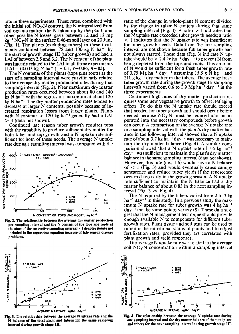rate in these experiments. These rates, combined with the initial soil  $NO<sub>3</sub>-N$  content, the N mineralized from soil organic matter, the N taken up by the plant, and other possible N losses, gave between 12 and 18 mg  $kg^{-1} NO<sub>3</sub>-N$  in the surface 0.46-m soil layer on 20 June (Fig. 1). The plants (excluding tubers) in these treatments contained between 78 and 100 kg N ha<sup>-1</sup> by the start of growth stage III (tuber growth) and had a LAI of between 2.5 and 3.2. The N content of the plant was linearly related to the LAI in all three experiments  $[LAI = (0.033 \text{ kg N} \text{ ha}^{-1}) - 0.1, r=0.86, n=85].$ 

The N contents of the plants (tops plus roots) at the start of a sampling interval were curvilinearly related to the average dry matter production rates during that sampling interval (Fig. 2). Near maximum dry matter production rates occurred between about 80 and 140  $k$ g N ha<sup>-1</sup> with the regression maximum at about 120  $kg$  N ha<sup>-1</sup>. The dry matter production rates tended to decrease at larger N contents, possibly because of increased respiration losses from larger plants. Plants with N contents  $> 120$  kg ha<sup>-1</sup> generally had a LAI  $>$  4 (data not shown).

Continued late season tuber growth requires tops with the capability to produce sufficient dry matter for both tuber and top growth and a N uptake rate sufficient for both of these needs. The average N uptake rate during a sampling interval was compared with the



Fig. 2. The relationship between the average dry matter production per sampling interval and the **N** content of the tops and roots at the start of the **respective sampling** interval. ( ) **denotes points not** included in the regression equation because of late **season disease problems.**



**Fig. 3. The relationship between the average N uptake rate and the N balance of the total plant and tubers for the same sampling interval during growth stage III.**

ratio of the change in whole-plant N content divided by the change in tuber N content during that same sampling interval (Fig. 3). A ratio  $> 1$  indicates that the N uptake rate exceeded tuber growth needs; a ratio  $<$  1 indicates that the N uptake rate was insufficient for tuber growth needs. Data from the first sampling interval are not shown because full tuber growth had not always started. These data (Fig. 3) indicate N uptake should be  $> 2.4$  kg ha<sup>-1</sup> day <sup>-1</sup> to prevent N from being depleted from the tops and roots. This amount of N would be sufficient for a fresh tuber growth rate of 0.75 Mg ha" day " assuming *15.5* g N kg-' and  $210 \text{ g kg}^{-1}$  dry matter in the tubers. The average fresh tuber growth rate during the growth stage III sampling intervals varied from 0.6 to 0.9 Mg ha<sup>-1</sup> day  $^{-1}$  in the three experiments.

Continued high rates of dry matter production requires some new vegetative growth to offset leaf aging effects. To do this the N uptake rate should exceed that needed for tuber growth and should occur before needed because  $NO<sub>3</sub>-N$  must be reduced and incorporated into the necessary compounds before growth can occur. A comparison of the average N uptake rate in a sampling interval with the plant's dry matter balance in the following interval showed that a N uptake rate of about 3.7 kg ha<sup>-1</sup> day<sup>-1</sup> was necessary to maintain the dry matter balance (Fig. 4). A similar comparison showed that a N uptake rate of 1.6 kg ha<sup>-1</sup>  $day^{-1}$  was sufficient to maintain the plant's dry mattter balance in the same sampling interval (data not shown). However, this rate (i.e., 1.6) would have a N balance  $of < 1$  (Fig. 3) and would eventually cause canopy senescence and reduce tuber yields if the senescence occurred too early in the growing season. A N uptake rate sufficient to maintain the N balance had a dry matter balance of about 0.83 in the next sampling interval (Fig. 3 vs. Fig. 4).

The N required by the tubers varied from 2 to 3 kg  $ha^{-1}$  day<sup>-1</sup> in this study. In a previous study the maximum N uptake rate for tuber growth was  $4 \text{ kg h}$  $a^{-1}$  $day^{-1}$  for the same potato variety (8). These data suggest that the N management technique should provide enough available N to compensate for different tuber growth rates. Plant tissue and soil tests can be used to monitor the nutritional status of plants and to adjust fertilization rates, provided they are correlated with plant growth and yield responses.

The average N uptake rate was related to the average soil  $NO<sub>3</sub>-N$  concentration within a sampling interval



Fig. 4. The relationship between the average N uptake rate during one sampling interval and the dry matter balance of the total plant and tubers for the next sampling interval during growth stage III.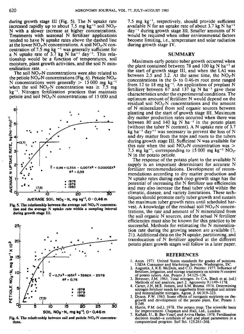during growth stage III (Fig. 5). The N uptake rate increased rapidly up to about 7.5 mg kg<sup>-1</sup> soil  $NO_3$ -N with a slower increase at higher concentrations. Treatments with seasonal N fertilizer applications tended to have N uptake rates above the dashed line at the lower  $NO_3-N$  concentrations. A soil  $NO_3-N$  concentration of 7.5 mg kg  $^{-1}$  was generally sufficient for a N uptake rate of 3.7 kg N ha<sup>-1</sup> day<sup>-1</sup>. This relationship would be a function of temperatures, soil moisture, plant growth activities, and the soil N mineralization rate.

The soil  $NO<sub>3</sub>-N$  concentrations were also related to the petiole  $NO_3$ -N concentrations (Fig. 6). Petiole  $NO_3$ -N concentrations were generally  $> 15000$  mg kg<sup>-1</sup> when the soil NO<sub>3</sub>-N concentration was  $\geq 7.5$  mg  $kg^{-1}$ . Nitrogen fertilization practices that maintain petiole and soil  $NO<sub>3</sub>-N$  concentrations of 15 000 and









7.5 mg  $kg^{-1}$ , respectively, should provide sufficient available N for an uptake rate of about 3.7 kg N ha<sup>-1</sup>  $day^{-1}$  during growth stage III. Smaller amounts of N would be required when other environmental factors become limiting, i.e., temperature and solar radiation during growth stage IV.

#### **SUMMARY**

Maximum early potato tuber growth occurred when the plant contained between 78 and 100 kg N ha<sup>-1</sup> at the start of growth stage III, and when the LAI was between 2.5 and 3.2. At the same time, the  $NO_3-N$ concentrations in the 0- to 0.46-m root zone ranged from 12 to 18 mg  $kg^{-1}$ . An application of preplant N fertilizer between  $67$  and  $137$  kg N ha<sup>-1</sup> gave these characteristics under the experimental conditions. The optimum amount of fertilizer N would depend on the residual soil  $NO<sub>3</sub>-N$  concentrations and the amount of N mineralized from soil organic sources between planting and the start of growth stage III. Maximum dry matter production rates occurred when there was between 80 and 140 kg N ha<sup>-1</sup> in the potato plant (without the tuber N content). A N uptake rate of 3.7 kg ha<sup>-1</sup> day<sup>-1</sup> was necessary to prevent the loss of N and dry matter from the tops and roots to the tubers during growth stage III. Sufficient N was available for this rate when the soil  $NO<sub>3</sub>-N$  concentration was  $>$ 7.5 mg kg<sup>-1</sup>, corresponding to 15 000 mg kg<sup>-1</sup> NO<sub>3</sub>-N in the potato petiole.

The response of the potato plant to the available N supply is an important determinant for accurate N fertilizer recommendations. Development of recommendations according to dry matter production and N uptake rates during each crop growth stage has the potential of increasing the N fertilizer use efficiencies and may also increase the final tuber yield within the climatic, disease, and variety limitations. These techniques should promote early tuber growth and sustain the maximum tuber growth rates until scheduled harvest. A knowledge of the residual soil  $NO<sub>3</sub>-N$  concentrations, the rate and amount of N mineralized from the soil organic N sources, and the actual N fertilizer efficiencies must also be known for this practice to be successful. Methods for estimating the N mineralization rate during the growing season are available (7, 21). Additional data on the N uptake, partitioning, and translocation of N fertilizer applied at the different potato plant growth stages will follow in a later paper.

#### REFERENCES

- 1. Anon. 1971. United States standards for grades of potatoes. USDA Consumer and Marketing Service, Washington, DC. 2. Augustin, J, R.E. McDole, and *C.G.* Painter. 1977. Influence of
- fertilizer, irrigation, and storage treatments on nitrate-N content
- of potato tubers. Am. Potato J. 54:125-136.<br>3. Bremner, J.M. 1965. Total nitrogen. *In* C.A. Black et al. (ed.)<br>Methods of soil analysis, part 2. Agronomy 9:1149-1178.<br>4. Carter, J.N. M.E. Jensen, and S.M. Bosma. 1974. Det
- nitrogen fertilizer needs for sugarbeets from residual soil nitrate and mineralizable nitrogen. Agron. J. 66:319-323.
- 5. Dyson, P.W. 1965. Some effects of inorganic nutrients on thegrowth and development of the potato plant. Eur. Potato J.<br>8:249.
- 6. Harris, P.M. (ed.). 1978. The potato crop: The scientific basis for improvement. Chapman and Hall, Ltd., London.
- 7. Kafkafi, U., B. Bar-Yosef, and Aviva Hadas. 1978. Fertilization decision model-a synthesis of soil and plant parameters in a computerized program. Soil Sci. 125:261-268.